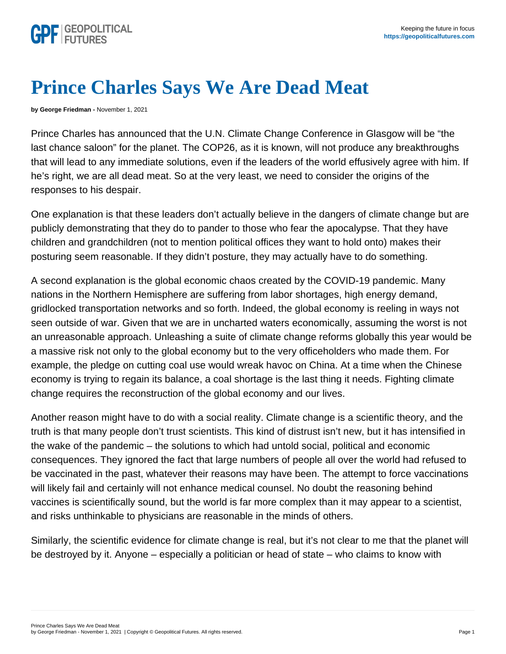## Prince Charles Says We Are Dead Meat

by George Friedman - November 1, 2021

Prince Charles has announced that the U.N. Climate Change Conference in Glasgow will be "the last chance saloon" for the planet. The COP26, as it is known, will not produce any breakthroughs that will lead to any immediate solutions, even if the leaders of the world effusively agree with him. If he's right, we are all dead meat. So at the very least, we need to consider the origins of the responses to his despair.

One explanation is that these leaders don't actually believe in the dangers of climate change but are publicly demonstrating that they do to pander to those who fear the apocalypse. That they have children and grandchildren (not to mention political offices they want to hold onto) makes their posturing seem reasonable. If they didn't posture, they may actually have to do something.

A second explanation is the global economic chaos created by the COVID-19 pandemic. Many nations in the Northern Hemisphere are suffering from labor shortages, high energy demand, gridlocked transportation networks and so forth. Indeed, the global economy is reeling in ways not seen outside of war. Given that we are in uncharted waters economically, assuming the worst is not an unreasonable approach. Unleashing a suite of climate change reforms globally this year would be a massive risk not only to the global economy but to the very officeholders who made them. For example, the pledge on cutting coal use would wreak havoc on China. At a time when the Chinese economy is trying to regain its balance, a coal shortage is the last thing it needs. Fighting climate change requires the reconstruction of the global economy and our lives.

Another reason might have to do with a social reality. Climate change is a scientific theory, and the truth is that many people don't trust scientists. This kind of distrust isn't new, but it has intensified in the wake of the pandemic – the solutions to which had untold social, political and economic consequences. They ignored the fact that large numbers of people all over the world had refused to be vaccinated in the past, whatever their reasons may have been. The attempt to force vaccinations will likely fail and certainly will not enhance medical counsel. No doubt the reasoning behind vaccines is scientifically sound, but the world is far more complex than it may appear to a scientist, and risks unthinkable to physicians are reasonable in the minds of others.

Similarly, the scientific evidence for climate change is real, but it's not clear to me that the planet will be destroyed by it. Anyone – especially a politician or head of state – who claims to know with